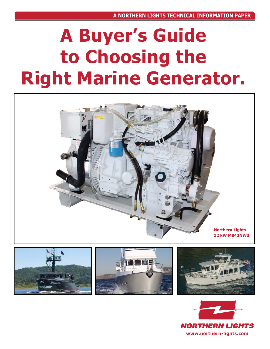# **A Buyer's Guide to Choosing the Right Marine Generator.**





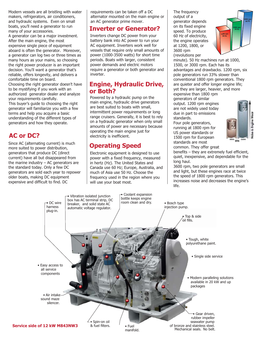Modern vessels are all bristling with water makers, refrigerators, air conditioners, and hydraulic systems. Even on small boats, you'll need a generator to run many of your accessories.

A generator can be a major investment. After the main engine, the most expensive single piece of equipment aboard is often the generator. Moreover, a generator can log two or three times as many hours as your mains, so choosing the right power producer is an important decision. You'll want a generator that's reliable, offers longevity, and delivers a comfortable time on board.

Choosing the right generator doesn't have to be mystifying if you work with an authorized generator dealer and analyze your requirements carefully.

This buyer's guide to choosing the right generator will familiarize you with a few terms and help you acquire a basic understanding of the different types of generators and how they operate.

#### **AC or DC?**

Since AC (alternating current) is much more suited to power distribution, generators that produce DC (direct current) have all but disappeared from the marine industry  $-$  AC generators are the standard today. Only a few DC generators are sold each year to repower older boats, making DC equipment expensive and difficult to find. DC

requirements can be taken off a DC alternator mounted on the main engine or an AC generator prime mover.

#### **Inverter or Generator?**

Inverters change DC power from your battery bank into AC power to run your AC equipment. Inverters work well for vessels that require only small amounts of power (1000-3500 watts) for short time periods. Boats with larger, consistent power demands and electric motors require a generator or both generator and inverter.

#### **Engine, Hydraulic Drive, or Both?**

Powered by a hydraulic pump on the main engine, hydraulic drive generators are best suited to boats with small, intermittent power requirements or long range cruisers. Generally, it is best to rely on a hydraulic generator when only small amounts of power are necessary because operating the main engine just for electricity is inefficient.

### **Operating Speed**

Electronic equipment is designed to use power with a fixed frequency, measured in hertz (Hz). The United States and Canada use 60 Hz; Europe, Australia, and much of Asia use 50 Hz. Choose the frequency used in the region where you will use your boat most.

The frequency output of a generator depends on its fixed engine speed. To produce 60 Hz of electricity, the engine operates at 1200, 1800, or 3600 rpm (revolutions per



minute). 50 Hz machines run at 1000, 1500, or 3000 rpm. Each has its advantages and drawbacks. 1200 rpm, six pole generators run 33% slower than conventional 1800 rpm generators. They are quieter and offer longer engine life; yet they are larger, heavier, and more expensive than 1800 rpm generators of similar

output. 1200 rpm engines are not widely used today due in part to emissions standards.

Four pole generators, running at 1800 rpm for US power standards or 1500 rpm for European standards are most





common. They offer great benefits – they are extremely fuel efficient,

quiet, inexpensive, and dependable for the long haul. 3600 rpm, two pole generators are small

and light, but these engines race at twice the speed of 1800 rpm generators. This increases noise and decreases the engine's life.

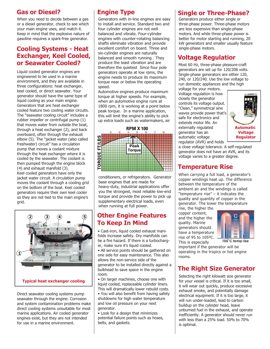#### **Gas or Diesel?**

When you need to decide between a gas or a diesel generator, check to see which your main engine uses, and match it. Keep in mind that the explosive nature of gasoline requires a spark-free generator.

#### **Cooling Systems - Heat Exchanger, Keel Cooled, or Seawater Cooled?**

Liquid cooled generator engines are engineered to be used in a marine environment, and they are available in three configurations: heat exchanger, keel cooled, or direct seawater. Your generator should have the same type of liquid cooling as your main engine. Generators that are heat exchanger cooled feature two cooling water circuits. The "seawater cooling circuit" includes a rubber impeller or centrifugal pump (1) that moves water from outside the boat, through a heat exchanger (2), and back overboard, often through the exhaust elbow (5). The "jacket water (also called freshwater) circuit" has a circulation pump that moves a coolant mixture through the heat exchanger where it is cooled by the seawater. The coolant is then pumped through the engine block (4) and exhaust manifold (3). Keel cooled generators have only the jacket water circuit. A circulation pump moves the coolant through a cooling grid on the bottom of the boat. Keel cooled generators require their own keel cooler so they are not tied to the main engine's grid.



Direct seawater cooling systems pump seawater through the engine. Corrosion and system contamination problems make direct cooling systems unsuitable for most marine applications. Air cooled generator engines exist, but they are not intended for use in a marine environment.

Generators with in-line engines are easy to install and service. Standard two and four cylinder engines are not well balanced and vibrate. Four-cylinder engines with counter-rotating balancing shafts eliminate vibration and provide excellent comfort on board. Three and six-cylinder engines are naturally balanced and smooth running . They produce the least vibration and are therefore the quietest Since four pole generators operate at low rpms, the engine needs to produce its maximum torque near or below the operating speed.

Automotive engines produce maximum torque at higher speeds. For example, when an automotive engine runs at 1800 rpm, it is working at a point below peak torque. In a marine application, this will limit the engine's ability to pick up extra loads such as watermakers, air



conditioners, or refrigerators. Generator base engines that are made for heavy-duty, industrial applications offer you the strongest, most reliable low-end torque and provide the power to pick up supplementary electrical loads, even when running at full power.

#### **Other Engine Features To Keep In Mind**

• Cast-iron, liquid cooled exhaust manifolds increase safety. Dry manifolds can be a fire hazard. If there is a turbocharger, make sure it's liquid cooled.

• All service points should be gathered on one side for easy maintenance. This also allows the non-service side of the generator to be installed directly against a bulkhead to save space in the engine room.

• On larger machines, choose one with liquid cooled, replaceable cylinder liners. This will dramatically lower rebuild costs.

• You will also benefit from having safety shutdowns for high water temperature and low oil pressure on your next generator.

• Look for a design that minimizes potential failure points such as hoses, belts, and gaskets.

# **Engine Type Single or Three-Phase?**

Generators produce either single or three-phase power. Three-phase motors are less expensive than single-phase motors. And while three-phase power is better for motor starting and running, 20 kW generators and smaller usually feature single-phase motors.

### **Voltage Regulatior**

Most 60 Hz, three-phase pleasure-craft generators are set up for 120/208 volts. Single-phase generators are either 120, 240, or 120/240. Use the low voltage to run domestic appliances and the high

voltage for your motors. Voltage regulation is how closely the generator controls its voltage output. "Clean," symmetrical sine waves provide power that's safe for electronics and extends motor life. An externally regulated generator has an automatic voltage regulator (AVR) and holds



a close voltage tolerance. A self-regulated generator does not have an AVR, and its voltage varies to a greater degree.

# **Temperature Rise**

When carrying a full load, a generator's copper windings heat up. The difference between the temperature of the ambient air and the windings is called "temperature rise" – it indicates the quality and quantity of copper in the generator. The lower the temperature

rise, the higher the copper content, and the higher the quality. Marine generators should have a temperature rise of 95 to 105ºC. This is especially



105°C temp rise

important if the generator will be operating in the tropics or hot engine rooms.

# **The Right Size Generator**

Selecting the right kilowatt size generator for your vessel is critical. If it is too small, it will wear out quickly, produce excessive exhaust smoke, and potentially damage electrical equipment. If it is too large, it will run under-loaded, lead to carbon buildup on the cylinder head, leave unburned fuel in the exhaust, and operate inefficiently. A generator should never run with less than a 25% load. 50% to 70% is optimal.